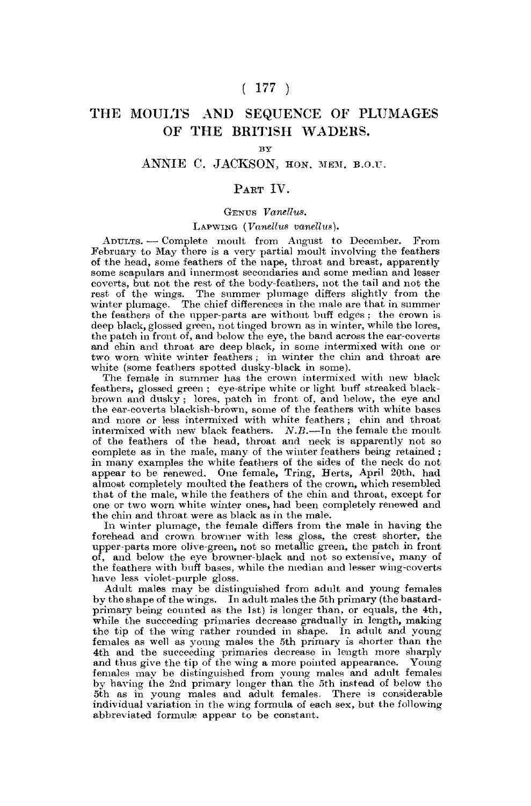# $(177)$

# THE MOULTS AND SEQUENCE OF PLUMAGES OF THE BRITISH WADERS.

## **By**

# ANNIE C. JACKSON, HON. MEM. B.O.U.

# PART IV.

#### GENUS *Vanellus.*

#### LAPWING *(Vanellus vanellus).*

ADULTS. •— Complete moult from August to December. From February to May there is a very partial moult involving the feathers of the head, some feathers of the nape, throat and breast, apparently some scapulars and innermost secondaries and some median and lesser coverts, but not the rest of the body-feathers, not the tail and not the rest of the wings. The summer plumage differs slightly from the winter plumage. The chief differences in the male are that in summer the feathers of the upper-parts are without buff edges ; the crown is deep black, glossed green, not tinged brown as in winter, while the lores, the patch in front of, and below the eye, the band across the ear-coverts and chin and throat are deep black, in some intermixed with one or two worn white winter feathers : in winter the chin and throat are white (some feathers spotted dusky-black in some).

The female in summer has the crown intermixed with new black feathers, glossed green ; eye-stripe white or light buff streaked blackbrown and dusky ; lores, patch in front of, and below, the eye and the ear-coverts blackish-brown, some of the feathers with white bases and more or less intermixed with white feathers; chin and throat intermixed with new black feathers. *N.B.*—In the female the moult of the feathers of the head, throat and neck is apparently not so complete as in the male, many of the winter feathers being retained; in many examples the white feathers of the sides of the neck do not appear to be renewed. One female, Tring, Herts, April 20th, had almost completely moulted the feathers of the crown, which resembled that of the male, while the feathers of the chin and throat, except for one or two worn white winter ones, had been completely renewed and the chin and throat were as black as in the male.

In winter plumage, the female differs from the male in having the forehead and crown browner with less gloss, the crest shorter, the upper-parts more olive-green, not so metallic green, the patch in front of, and below the eye browner-black and not so extensive, many of the feathers with buff bases, while the median and lesser wing-coverts have less violet-purple gloss.

Adult males may be distinguished from adult and young females by the shape of the wings. In adult males the 5th primary (the bastardprimary being counted as the 1st) is longer than, or equals, the 4th, while the succeeding primaries decrease gradually in length, making the tip of the wing rather rounded in shape. In adult and young females as well as young males the 5th primary is shorter than the 4th and the succeeding primaries decrease in length more sharply and thus give the tip of the wing a more pointed appearance. Young females may be distinguished from young males and adult females by having the 2nd primary longer than the 5th instead of below the 5th as in young males and adult females. There is considerable individual variation in the wing formula of each sex, but the following abbreviated formulae appear to be constant.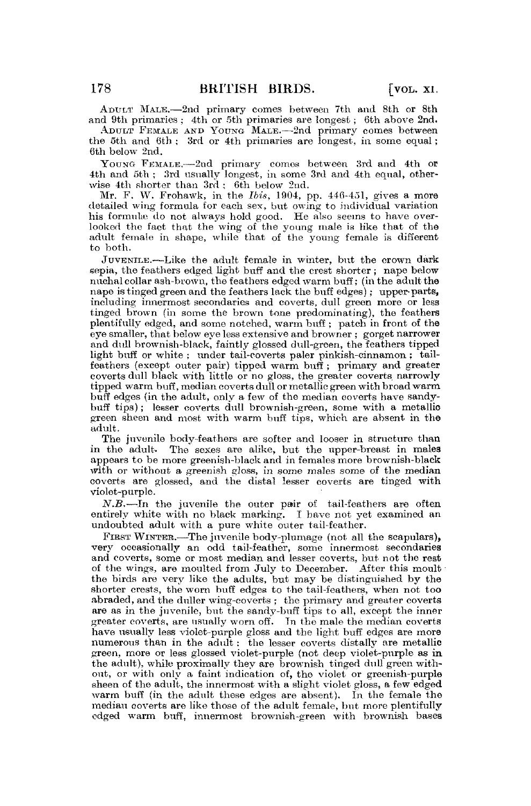ADULT MALE.—2nd primary comes between 7th and 8th or 8th and 9th primaries ; 4th or Sth primaries are longest; 6th above 2nd.

ADULT FEMALE AND YOUNG MALE.-2nd primary comes between the Sth and 6th ; 3rd or 4th primaries are longest, in some equal; 6th below 2nd.

YOUNG FEMALE.—2nd primary comes between 3rd and 4th or 4th and Sth ; 3rd usually longest, in some 3rd and 4th equal, otherwise 4th shorter than 3rd ; 6th below 2nd.

Mr. F. W. Frohawk, in. the *Ibis,* 1904, pp. 446-451, gives a more detailed wing formula for each sex, but owing to individual variation his formulae do not always hold good. He also seems to have overlooked the fact that the wing of the young male is like that of the adult female in shape, while that of the young female is different to both.

JUVENILE.—Like the adult female in winter, but the crown dark sepia, the feathers edged light buff and the crest shorter ; nape below nuchal collar ash-brown, the feathers edged warm buff; (in the adult the nape is tinged green and the feathers lack the buff edges); upper-parts, including innermost secondaries and coverts, dull green more or less tinged brown (in some the brown tone predominating), the feathers plentifully edged, and some notched, warm buff ; patch in front of the eye smaller, that below eye less extensive and browner ; gorget narrower and dull brownish-black, faintly glossed dull-green, the feathers tipped light buff or white ; under tail-coverts paler pinkish-cinnamon: tailfeathers (except outer pair) tipped warm buff ; primary and greater coverts dull black with little or no gloss, the greater coverts, narrowly tipped warm buff, median coverts dull or metallic green with broad warm buff edges (in the adult, only a few of the median coverts have sandybuff tips); lesser coverts dull brownish-green, some with a metallic green sheen and most with warm buff tips, which are absent in the adult.

The juvenile body-feathers are softer and looser in structure than in the adult. The sexes are alike, but the upper-breast in males appears to be more greenish-black and in females more brownish-black with or without a greenish gloss, in some males some of the median coverts are glossed, and the distal lesser coverts are tinged with violet-purple.

*N.B.-*—In the juvenile the outer pair of tail-feathers are often entirely white with no black marking. I have not yet examined an undoubted adult with a pure white outer tail-feather.

FIRST WINTER.—The juvenile body-plumage (not all the scapulars), very occasionally an odd tail-feather, some innermost secondaries and coverts, some or most median and lesser coverts, but not the rest of the wings, are moulted from July to December. After this moult the birds are very like the adults, but may be distinguished by the shorter crests, the worn buff edges to the tail-feathers, when not too abraded, and the duller wing-coverts ; the primary and greater coverts are as in the juvenile, but the sandy-buff tips to all, except the inner greater coverts, are usually worn off. Tn the male the median coverts have usually less violet-purple gloss and the light buff edges are more numerous than in the adult ; the lesser coverts distally are metallic green, more or less glossed violet-purple (not deep violet-purple as in the adult), while proximally they are brownish tinged dull green without, or with only a faint indication of, the violet or greenish-purple sheen of the adult, the innermost with a slight violet gloss, a few edged warm buff (in the adult these edges are absent). In the female the median coverts are like those of the adult female, but more plentifully edged warm buff, innermost brownish-green with brownish bases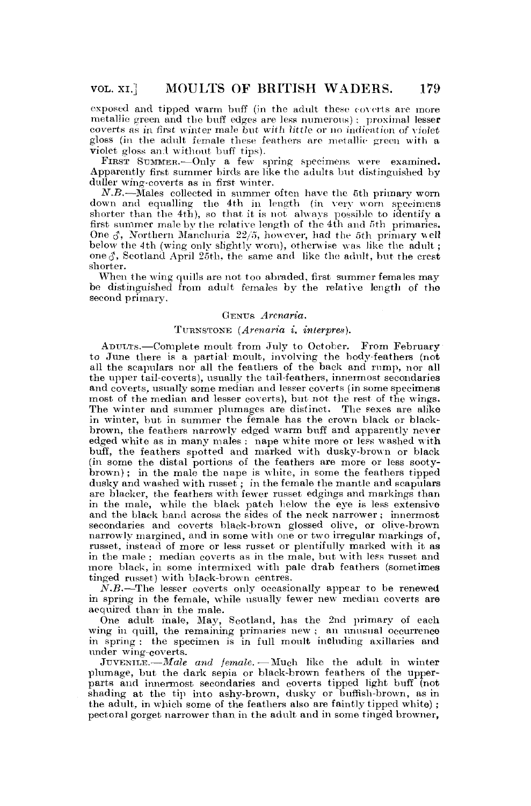exposed and tipped warm buff (in the adult these coverts are more metallic green and the buff edges are less numerous); proximal lesser coverts as in first winter male but with little or no indication of violet gloss (in the adult female these feathers are metallic green with a violet gloss and without buff tips).

FIRST SUMMER.- Only a few spring specimens were examined. Apparently first summer birds are like the adults but distinguished by duller wing-coverts as in first winter.

*N.B.*—Males collected in summer often have the 5th primary worn down and equalling the 4th in length (in very worn specimens shorter than the 4th), so that it is not always possible to identify a first summer male by the relative length of the 4th and 5th primaries. One  $\delta$ , Northern Manchuria 22/5, however, had the 5th primary well below the 4th (wing only slightly worn), otherwise was like the adult ; one  $\delta$ , Scotland April 25th, the same and like the adult, but the crest shorter.

When the wing quills are not too abraded, first summer females may be distinguished from adult females by the relative length of the second primary.

### GENUS *Arcnaria.*

#### TURNSTONE *(Arenaria i. interpres).*

ADUUTS.—Complete moult from July to October. From February to June there is a partial moult, involving the body-feathers (not all the scapulars nor all the feathers of the back and rump, nor all the upper tail-coverts), usually the tail-feathers, innermost secondaries and coverts, usually some median and lesser coverts (in some specimens most of the median and lesser coverts), but not the rest of the wings. The winter and summer plumages are distinct. The sexes are alike in winter, but in summer the female has the crown black or blackbrown, the feathers narrowly edged warm buff and apparently never edged white as in many males ; nape white more or less washed with buff, the feathers spotted and marked with dusky-brown or black (in some the distal portions of the feathers are more or less sootybrown); in the male the nape is white, in some the feathers tipped dusky and washed with russet ; in the female the mantle and scapulars are blacker, the feathers with fewer russet edgings and markings than in the male, while the black patch below the eye is less extensive and the black band across the sides of the neck narrower ; innermost secondaries and coverts black-brown glossed olive, or olive-brown narrowly margined, and in some with one or two irregular markings of, russet, instead of more or less russet or plentifully marked with it as in the male ; median coverts as in the male, but with less russet and more black, in some intermixed with pale drab feathers (sometimes tinged russet) with black-brown centres.

*N.B.*—The lesser coverts only occasionally appear to be renewed in spring in the female, while usually fewer new median coverts are acquired than in the male.

One adult male, May, Scotland, has the 2nd primary of each wing in quill, the remaining primaries new ; an unusual occurrence in spring : the specimen is in full moult including axillaries and under wing-coverts.

JUVENILE.—*Male and female.*—Much like the adult in winter plumage, but the dark sepia or black-brown feathers of the upperparts and innermost secondaries and coverts tipped light buff (not shading at the tip into ashy-brown, dusky or buffish-brown, as in the adult, in which some of the feathers also are faintly tipped white); pectoral gorget narrower than in the adult and in some tinged browner,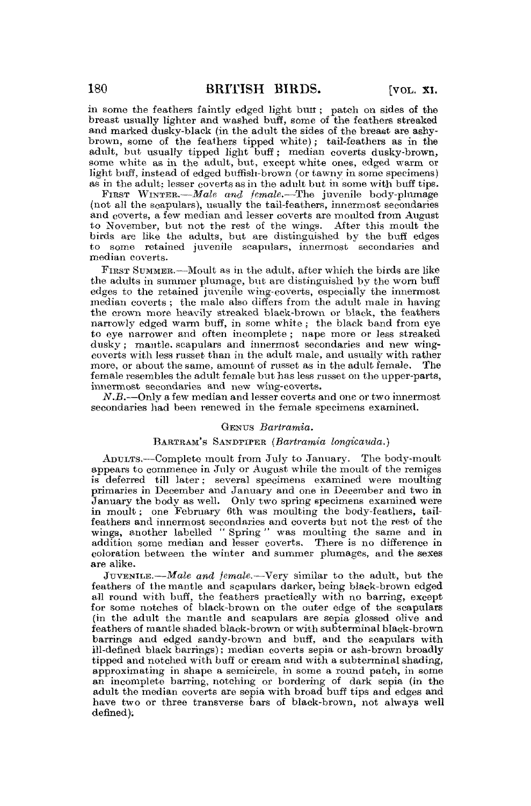in some the feathers faintly edged light butt; patch on sides of the breast usually lighter and washed buff, some of the feathers streaked and marked dusky-black (in the adult the sides of the breast are ashybrown, some of the feathers tipped white); tail-feathers as in the adult, but usually tipped light buff; median coverts dusky-brown, some white as in the adult, but, except white ones, edged warm or light buff, instead of edged bufflsh-brown (or tawny in some specimens) as in the adult; lesser coverts as in the adult but in some with buff tips.

FIRST WINTER.—*Male and female.*—The juvenile body-plumage (not all the scapulars), usually the tail-feathers, innermost secondaries and coverts, a few median and lesser coverts are moulted from August to November, but not the rest of the wings. After this moult the birds are like the adults, but are distinguished by the buff edges to some retained juvenile scapulars, innermost secondaries and median coverts.

FIRST SUMMER..—Moult as in the adult, after which the birds are like the adults in summer plumage, but are distinguished by the worn buff edges to the retained juvenile wing-coverts, especially the innermost median coverts ; the male also differs from the adult male in having the crown more heavily streaked black-brown or black, the feathers narrowly edged warm buff, in some white ; the black band from eye to eye narrower and often incomplete ; nape more or less streaked dusky; mantle, scapulars and innermost secondaries and new wingeoverts with less russet than in the adult male, and usually with rather more, or about the same, amount of russet as in the adult female. The female resembles the adult female but has less russet on the upper-parts, innermost secondaries and new wing-coverts,

*N.B.*—Only a few median and lesser coverts and one or two innermost secondaries had been renewed in the female specimens examined.

### GENUS *Bartramia.*

#### BARTRAM'S SANDPIPER *(Bartramia longicauda.)*

ADULTS.'—Complete moult from July to January. The body-moult appears to commence in July or August while the moult of the remiges is deferred till later; several specimens examined were moulting primaries in December and January and one in December and two in January the body as well. Only two spring specimens examined were in moult; one February 6th was moulting the body-feathers, tailfeathers and innermost secondaries and coverts but not the rest of the wings, another labelled " Spring " was moulting the same and in addition some median and lesser coverts. There is no difference in coloration between the winter and summer plumages, and the sexes are alike.

JUVENILE.—*Male and female*.—Very similar to the adult, but the feathers of the mantle and seapulars darker, being black-brown edged all round with buff, the feathers practically with no barring, except for some notches of black-brown on the outer edge of the seapulars (in the adult the mantle and scapulars are sepia glossed olive and feathers of mantle shaded black-brown or with subterminal black-brown barrings and edged sandy-brown and buff, and the scapulars with ill-defined black barrings); median coverts sepia or ash-brown broadly tipped and notched with buff or cream and with a subterminal shading, approximating in shape a semicircle, in some a round patch, in some an incomplete barring, notching or bordering of dark sepia (in the adult the median coverts are sepia with broad buff tips and edges and have two or three transverse bars of black-brown, not always well defined);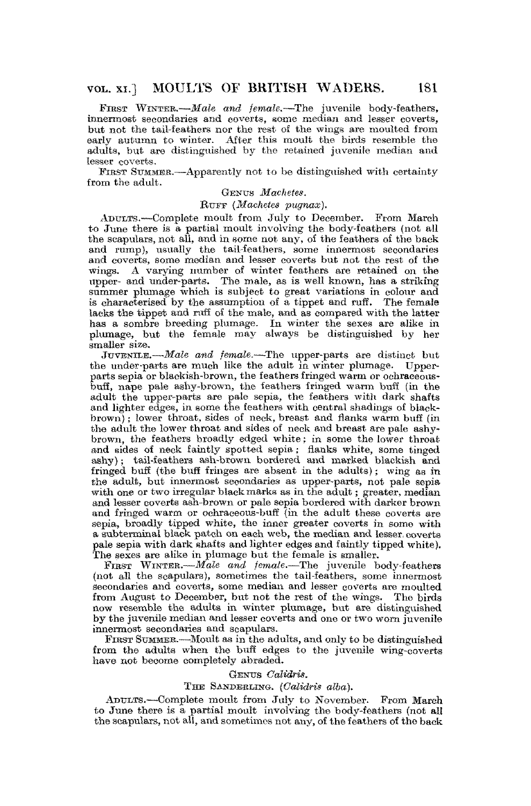FIRST WINTER.-*Male and female*.-The juvenile body-feathers, innermost secondaries and coverts, some median and lesser coverts, but not the tail-feathers nor the rest of the wings are moulted from early autumn to winter. After this moult the birds resemble the adults, but are distinguished by the retained juvenile median and lesser coverts.

FIRST SUMMER.—Apparently not to be distinguished with certainty from the adult.

# GENUS *Machetes.*

#### BUF F *{Machetes pugnax).*

ADULTS.-—Complete moult from July to December. From March to June there is a partial moult involving the body-feathers (not all the scapulars, not all, and in some not any, of the feathers of the back and rump), usually the tail-feathers, some innermost secondaries and coverts, some median and lesser coverts but not the rest of the wings. A varying number of winter feathers are retained on the upper- and under-parts. The male, as is well known, has a striking summer plumage which is subject to great variations in colour and is characterised by the assumption of a tippet and ruff. The female lacks the tippet and ruff of the male, and as compared with the latter has a sombre breeding plumage. In winter the sexes are alike in nas a sombre breeding plumage. In white the sexes are allie in<br>plumage, but the female may always be distinguished by her

JUVENILE.—*Male and female.—-The* upper-parts are distinct but the under-parts are much like the adult in winter plumage. Upperparts sepia or blackish-brown, the feathers fringed warm or ochraceousbuff, nape pale ashy-brown, the feathers fringed warm buff (in the adult the upper-parts are pale sepia, the feathers with dark shafts and lighter edges, in some the feathers with central shadings of blackbrown) ; lower throat, sides of neck, breast and flanks warm buff (in the adult the lower throat and sides of neck and breast are pale ashybrown, the feathers broadly edged white; in some the lower throat and sides of neck faintly spotted sepia; flanks white, some tinged ashy); tail-feathers ash-brown bordered and marked blackish and fringed buff (the buff fringes are absent in the adults); wing as in the adult, but innermost secondaries as upper-parts, not pale sepia with one or two irregular black marks as in the adult; greater, median and lesser coverts ash-brown or pale sepia bordered with darker brown and fringed warm or oehraceous-buff {in the adult these coverts are sepia, broadly tipped white, the inner greater coverts in gome with a subterminal black patch on each web, the median and lesser, coverts pale sepia with dark shafts and lighter edges and faintly tipped white). The sexes are alike in plumage but the female is smaller.

FIRST WINTER. - Male and female. - The juvenile body-feathers (not all the scapulars), sometimes the tail-feathers, some innermost secondaries and coverts, some median and lesser coverts are moulted from August to December, but not the rest of the wings. The birds now resemble the adults in winter plumage, but are distinguished by the juvenile median and lesser coverts and one or two worn juvenile innermost secondaries and scapulars.

FIRST STIMMEB.-—Moult as in the adults, and only to be distinguished from the adults when the buff edges to the juvenile wing-coverts have not become completely abraded.

### *Gxmvs CaMdris.*

## THE SANDERLING. (Calidris alba).

ADULTS.—Complete moult from July to November. From March to June there is a partial moult involving the body-feathers (not all the scapulars, not all, and sometimes not any, of the feathers of the back